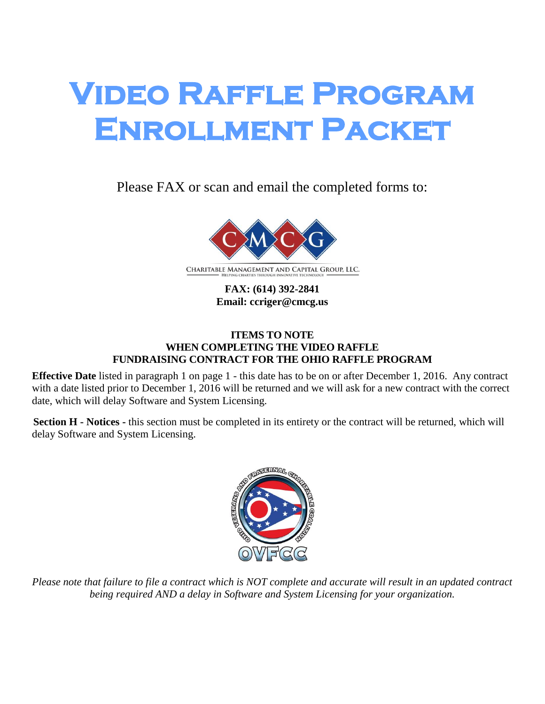# **Video Raffle Program Enrollment Packet**

Please FAX or scan and email the completed forms to:



**FAX: (614) 392-2841 Email: ccriger@cmcg.us**

#### **ITEMS TO NOTE WHEN COMPLETING THE VIDEO RAFFLE FUNDRAISING CONTRACT FOR THE OHIO RAFFLE PROGRAM**

**Effective Date** listed in paragraph 1 on page 1 - this date has to be on or after December 1, 2016. Any contract with a date listed prior to December 1, 2016 will be returned and we will ask for a new contract with the correct date, which will delay Software and System Licensing.

**Section H - Notices -** this section must be completed in its entirety or the contract will be returned, which will delay Software and System Licensing.



*Please note that failure to file a contract which is NOT complete and accurate will result in an updated contract being required AND a delay in Software and System Licensing for your organization.*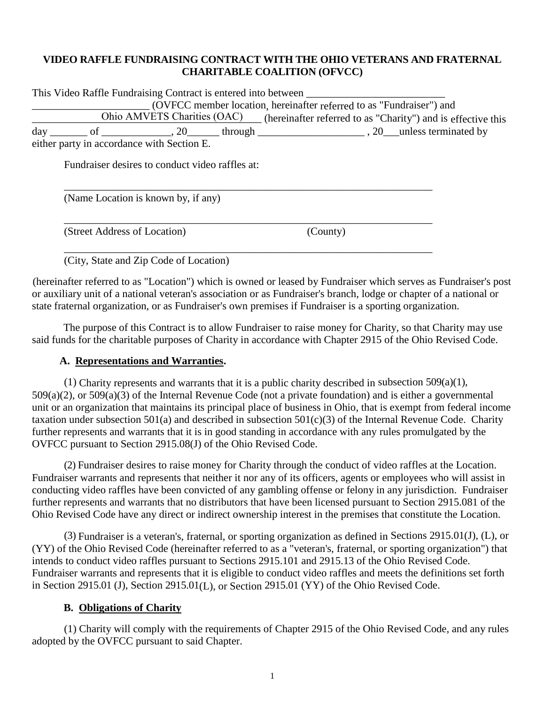#### **VIDEO RAFFLE FUNDRAISING CONTRACT WITH THE OHIO VETERANS AND FRATERNAL CHARITABLE COALITION (OFVCC)**

| This Video Raffle Fundraising Contract is entered into between                         |                                                                                                                   |  |
|----------------------------------------------------------------------------------------|-------------------------------------------------------------------------------------------------------------------|--|
|                                                                                        | (OVFCC member location, hereinafter referred to as "Fundraiser") and                                              |  |
|                                                                                        | Ohio AMVETS Charities (OAC) (hereinafter referred to as "Charity") and is effective this                          |  |
|                                                                                        | $\text{day}$ ________ of ______________, 20________ through _________________________, 20____unless terminated by |  |
| either party in accordance with Section E.                                             |                                                                                                                   |  |
| Fundraiser desires to conduct video raffles at:<br>(Name Location is known by, if any) |                                                                                                                   |  |
| (Street Address of Location)                                                           | (County)                                                                                                          |  |
| (City, State and Zip Code of Location)                                                 |                                                                                                                   |  |

(hereinafter referred to as "Location") which is owned or leased by Fundraiser which serves as Fundraiser's post or auxiliary unit of a national veteran's association or as Fundraiser's branch, lodge or chapter of a national or state fraternal organization, or as Fundraiser's own premises if Fundraiser is a sporting organization.

The purpose of this Contract is to allow Fundraiser to raise money for Charity, so that Charity may use said funds for the charitable purposes of Charity in accordance with Chapter 2915 of the Ohio Revised Code.

#### **A. Representations and Warranties.**

(1) Charity represents and warrants that it is a public charity described in subsection  $509(a)(1)$ , 509(a)(2), or 509(a)(3) of the Internal Revenue Code (not a private foundation) and is either a governmental unit or an organization that maintains its principal place of business in Ohio, that is exempt from federal income taxation under subsection 501(a) and described in subsection 501(c)(3) of the Internal Revenue Code. Charity further represents and warrants that it is in good standing in accordance with any rules promulgated by the OVFCC pursuant to Section 2915.08(J) of the Ohio Revised Code.

(2) Fundraiser desires to raise money for Charity through the conduct of video raffles at the Location. Fundraiser warrants and represents that neither it nor any of its officers, agents or employees who will assist in conducting video raffles have been convicted of any gambling offense or felony in any jurisdiction. Fundraiser further represents and warrants that no distributors that have been licensed pursuant to Section 2915.081 of the Ohio Revised Code have any direct or indirect ownership interest in the premises that constitute the Location.

(3) Fundraiser is a veteran's, fraternal, or sporting organization as defined in Sections 2915.01(J), (L), or (YY) of the Ohio Revised Code (hereinafter referred to as a "veteran's, fraternal, or sporting organization") that intends to conduct video raffles pursuant to Sections 2915.101 and 2915.13 of the Ohio Revised Code. Fundraiser warrants and represents that it is eligible to conduct video raffles and meets the definitions set forth in Section 2915.01 (J), Section 2915.01(L), or Section 2915.01 (YY) of the Ohio Revised Code.

#### **B. Obligations of Charity**

(1) Charity will comply with the requirements of Chapter 2915 of the Ohio Revised Code, and any rules adopted by the OVFCC pursuant to said Chapter.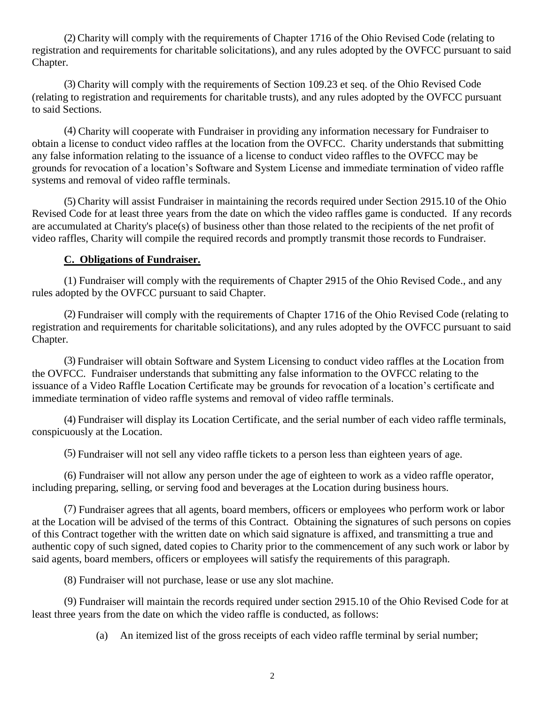(2) Charity will comply with the requirements of Chapter 1716 of the Ohio Revised Code (relating to registration and requirements for charitable solicitations), and any rules adopted by the OVFCC pursuant to said Chapter.

(3) Charity will comply with the requirements of Section 109.23 et seq. of the Ohio Revised Code (relating to registration and requirements for charitable trusts), and any rules adopted by the OVFCC pursuant to said Sections.

(4) Charity will cooperate with Fundraiser in providing any information necessary for Fundraiser to obtain a license to conduct video raffles at the location from the OVFCC. Charity understands that submitting any false information relating to the issuance of a license to conduct video raffles to the OVFCC may be grounds for revocation of a location's Software and System License and immediate termination of video raffle systems and removal of video raffle terminals.

(5) Charity will assist Fundraiser in maintaining the records required under Section 2915.10 of the Ohio Revised Code for at least three years from the date on which the video raffles game is conducted. If any records are accumulated at Charity's place(s) of business other than those related to the recipients of the net profit of video raffles, Charity will compile the required records and promptly transmit those records to Fundraiser.

#### **C. Obligations of Fundraiser.**

(1) Fundraiser will comply with the requirements of Chapter 2915 of the Ohio Revised Code., and any rules adopted by the OVFCC pursuant to said Chapter.

(2) Fundraiser will comply with the requirements of Chapter 1716 of the Ohio Revised Code (relating to registration and requirements for charitable solicitations), and any rules adopted by the OVFCC pursuant to said Chapter.

(3) Fundraiser will obtain Software and System Licensing to conduct video raffles at the Location from the OVFCC. Fundraiser understands that submitting any false information to the OVFCC relating to the issuance of a Video Raffle Location Certificate may be grounds for revocation of a location's certificate and immediate termination of video raffle systems and removal of video raffle terminals.

(4) Fundraiser will display its Location Certificate, and the serial number of each video raffle terminals, conspicuously at the Location.

(5) Fundraiser will not sell any video raffle tickets to a person less than eighteen years of age.

(6) Fundraiser will not allow any person under the age of eighteen to work as a video raffle operator, including preparing, selling, or serving food and beverages at the Location during business hours.

(7) Fundraiser agrees that all agents, board members, officers or employees who perform work or labor at the Location will be advised of the terms of this Contract. Obtaining the signatures of such persons on copies of this Contract together with the written date on which said signature is affixed, and transmitting a true and authentic copy of such signed, dated copies to Charity prior to the commencement of any such work or labor by said agents, board members, officers or employees will satisfy the requirements of this paragraph.

(8) Fundraiser will not purchase, lease or use any slot machine.

(9) Fundraiser will maintain the records required under section 2915.10 of the Ohio Revised Code for at least three years from the date on which the video raffle is conducted, as follows:

(a) An itemized list of the gross receipts of each video raffle terminal by serial number;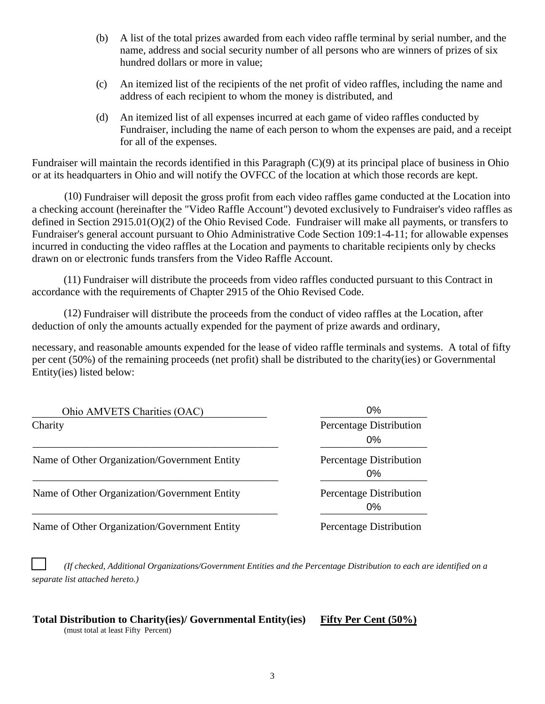- (b) A list of the total prizes awarded from each video raffle terminal by serial number, and the name, address and social security number of all persons who are winners of prizes of six hundred dollars or more in value;
- (c) An itemized list of the recipients of the net profit of video raffles, including the name and address of each recipient to whom the money is distributed, and
- (d) An itemized list of all expenses incurred at each game of video raffles conducted by Fundraiser, including the name of each person to whom the expenses are paid, and a receipt for all of the expenses.

Fundraiser will maintain the records identified in this Paragraph (C)(9) at its principal place of business in Ohio or at its headquarters in Ohio and will notify the OVFCC of the location at which those records are kept.

(10) Fundraiser will deposit the gross profit from each video raffles game conducted at the Location into a checking account (hereinafter the "Video Raffle Account") devoted exclusively to Fundraiser's video raffles as defined in Section 2915.01(O)(2) of the Ohio Revised Code. Fundraiser will make all payments, or transfers to Fundraiser's general account pursuant to Ohio Administrative Code Section 109:1-4-11; for allowable expenses incurred in conducting the video raffles at the Location and payments to charitable recipients only by checks drawn on or electronic funds transfers from the Video Raffle Account.

(11) Fundraiser will distribute the proceeds from video raffles conducted pursuant to this Contract in accordance with the requirements of Chapter 2915 of the Ohio Revised Code.

(12) Fundraiser will distribute the proceeds from the conduct of video raffles at the Location, after deduction of only the amounts actually expended for the payment of prize awards and ordinary,

necessary, and reasonable amounts expended for the lease of video raffle terminals and systems. A total of fifty per cent (50%) of the remaining proceeds (net profit) shall be distributed to the charity(ies) or Governmental Entity(ies) listed below:

| Ohio AMVETS Charities (OAC)                  | $0\%$                            |  |
|----------------------------------------------|----------------------------------|--|
| Charity                                      | Percentage Distribution          |  |
|                                              | $0\%$                            |  |
| Name of Other Organization/Government Entity | Percentage Distribution<br>$0\%$ |  |
| Name of Other Organization/Government Entity | Percentage Distribution<br>$0\%$ |  |
| Name of Other Organization/Government Entity | Percentage Distribution          |  |

❑ *(If checked, Additional Organizations/Government Entities and the Percentage Distribution to each are identified on a separate list attached hereto.)*

# **Total Distribution to Charity(ies)/ Governmental Entity(ies) Fifty Per Cent (50%)**

(must total at least Fifty Percent)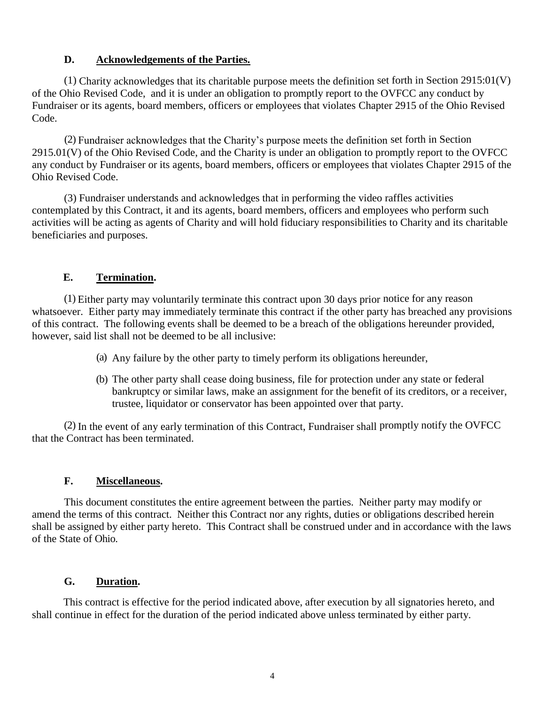#### **D. Acknowledgements of the Parties.**

(1) Charity acknowledges that its charitable purpose meets the definition set forth in Section 2915:01(V) of the Ohio Revised Code, and it is under an obligation to promptly report to the OVFCC any conduct by Fundraiser or its agents, board members, officers or employees that violates Chapter 2915 of the Ohio Revised Code.

(2) Fundraiser acknowledges that the Charity's purpose meets the definition set forth in Section 2915.01(V) of the Ohio Revised Code, and the Charity is under an obligation to promptly report to the OVFCC any conduct by Fundraiser or its agents, board members, officers or employees that violates Chapter 2915 of the Ohio Revised Code.

(3) Fundraiser understands and acknowledges that in performing the video raffles activities contemplated by this Contract, it and its agents, board members, officers and employees who perform such activities will be acting as agents of Charity and will hold fiduciary responsibilities to Charity and its charitable beneficiaries and purposes.

#### **E. Termination.**

(1) Either party may voluntarily terminate this contract upon 30 days prior notice for any reason whatsoever. Either party may immediately terminate this contract if the other party has breached any provisions of this contract. The following events shall be deemed to be a breach of the obligations hereunder provided, however, said list shall not be deemed to be all inclusive:

- (a) Any failure by the other party to timely perform its obligations hereunder,
- (b) The other party shall cease doing business, file for protection under any state or federal bankruptcy or similar laws, make an assignment for the benefit of its creditors, or a receiver, trustee, liquidator or conservator has been appointed over that party.

(2) In the event of any early termination of this Contract, Fundraiser shall promptly notify the OVFCC that the Contract has been terminated.

#### **F. Miscellaneous.**

This document constitutes the entire agreement between the parties. Neither party may modify or amend the terms of this contract. Neither this Contract nor any rights, duties or obligations described herein shall be assigned by either party hereto. This Contract shall be construed under and in accordance with the laws of the State of Ohio.

#### **G. Duration.**

This contract is effective for the period indicated above, after execution by all signatories hereto, and shall continue in effect for the duration of the period indicated above unless terminated by either party.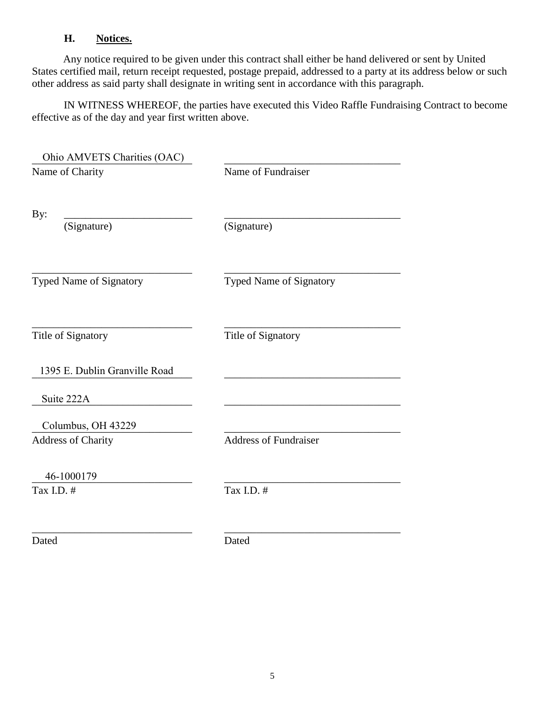### **H. Notices.**

Any notice required to be given under this contract shall either be hand delivered or sent by United States certified mail, return receipt requested, postage prepaid, addressed to a party at its address below or such other address as said party shall designate in writing sent in accordance with this paragraph.

IN WITNESS WHEREOF, the parties have executed this Video Raffle Fundraising Contract to become effective as of the day and year first written above.

| Ohio AMVETS Charities (OAC)   |                              |  |
|-------------------------------|------------------------------|--|
| Name of Charity               | Name of Fundraiser           |  |
| By:                           |                              |  |
| (Signature)                   | (Signature)                  |  |
| Typed Name of Signatory       | Typed Name of Signatory      |  |
| Title of Signatory            | Title of Signatory           |  |
| 1395 E. Dublin Granville Road |                              |  |
| Suite 222A                    |                              |  |
| Columbus, OH 43229            |                              |  |
| <b>Address of Charity</b>     | <b>Address of Fundraiser</b> |  |
| 46-1000179                    |                              |  |
| Tax I.D. #                    | Tax I.D. #                   |  |
| Dated                         | Dated                        |  |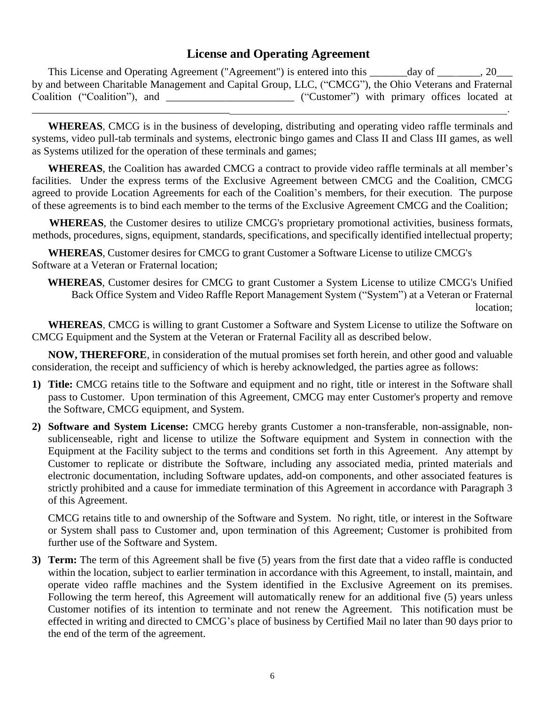### **License and Operating Agreement**

This License and Operating Agreement ("Agreement") is entered into this \_\_\_\_\_\_\_\_ day of  $\qquad \qquad .20$ by and between Charitable Management and Capital Group, LLC, ("CMCG"), the Ohio Veterans and Fraternal Coalition ("Coalition"), and \_\_\_\_\_\_\_\_\_\_\_\_\_\_\_\_\_\_\_\_\_\_\_\_\_ ("Customer") with primary offices located at \_\_\_\_\_\_\_\_\_\_\_\_\_\_\_\_\_\_\_\_\_\_\_\_\_\_\_\_\_\_\_\_\_\_\_\_\_\_\_\_\_\_\_\_\_\_\_\_\_\_\_\_\_\_\_\_\_\_\_\_\_\_\_\_\_\_\_\_\_\_\_\_\_\_\_\_\_\_\_\_\_\_\_\_\_\_\_\_\_.

**WHEREAS**, CMCG is in the business of developing, distributing and operating video raffle terminals and systems, video pull-tab terminals and systems, electronic bingo games and Class II and Class III games, as well as Systems utilized for the operation of these terminals and games;

**WHEREAS**, the Coalition has awarded CMCG a contract to provide video raffle terminals at all member's facilities. Under the express terms of the Exclusive Agreement between CMCG and the Coalition, CMCG agreed to provide Location Agreements for each of the Coalition's members, for their execution. The purpose of these agreements is to bind each member to the terms of the Exclusive Agreement CMCG and the Coalition;

**WHEREAS**, the Customer desires to utilize CMCG's proprietary promotional activities, business formats, methods, procedures, signs, equipment, standards, specifications, and specifically identified intellectual property;

**WHEREAS**, Customer desires for CMCG to grant Customer a Software License to utilize CMCG's Software at a Veteran or Fraternal location;

**WHEREAS**, Customer desires for CMCG to grant Customer a System License to utilize CMCG's Unified Back Office System and Video Raffle Report Management System ("System") at a Veteran or Fraternal location;

**WHEREAS**, CMCG is willing to grant Customer a Software and System License to utilize the Software on CMCG Equipment and the System at the Veteran or Fraternal Facility all as described below.

**NOW, THEREFORE**, in consideration of the mutual promises set forth herein, and other good and valuable consideration, the receipt and sufficiency of which is hereby acknowledged, the parties agree as follows:

- **1) Title:** CMCG retains title to the Software and equipment and no right, title or interest in the Software shall pass to Customer. Upon termination of this Agreement, CMCG may enter Customer's property and remove the Software, CMCG equipment, and System.
- **2) Software and System License:** CMCG hereby grants Customer a non-transferable, non-assignable, nonsublicenseable, right and license to utilize the Software equipment and System in connection with the Equipment at the Facility subject to the terms and conditions set forth in this Agreement. Any attempt by Customer to replicate or distribute the Software, including any associated media, printed materials and electronic documentation, including Software updates, add-on components, and other associated features is strictly prohibited and a cause for immediate termination of this Agreement in accordance with Paragraph 3 of this Agreement.

CMCG retains title to and ownership of the Software and System. No right, title, or interest in the Software or System shall pass to Customer and, upon termination of this Agreement; Customer is prohibited from further use of the Software and System.

**3) Term:** The term of this Agreement shall be five (5) years from the first date that a video raffle is conducted within the location, subject to earlier termination in accordance with this Agreement, to install, maintain, and operate video raffle machines and the System identified in the Exclusive Agreement on its premises. Following the term hereof, this Agreement will automatically renew for an additional five (5) years unless Customer notifies of its intention to terminate and not renew the Agreement. This notification must be effected in writing and directed to CMCG's place of business by Certified Mail no later than 90 days prior to the end of the term of the agreement.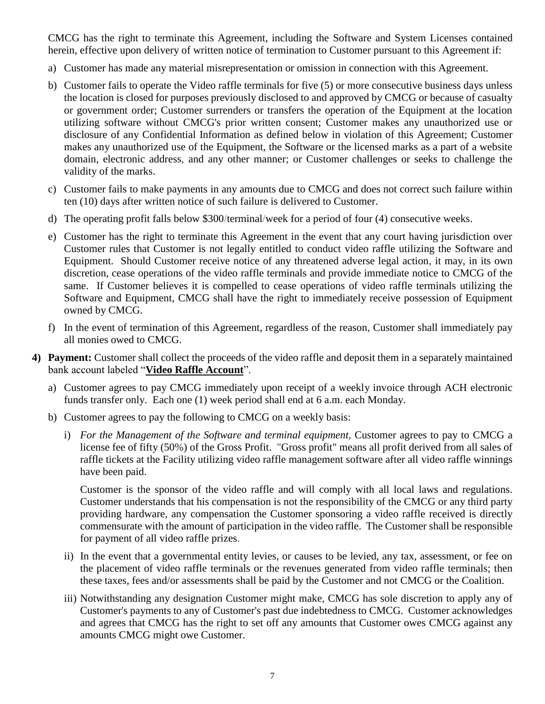CMCG has the right to terminate this Agreement, including the Software and System Licenses contained herein, effective upon delivery of written notice of termination to Customer pursuant to this Agreement if:

- a) Customer has made any material misrepresentation or omission in connection with this Agreement.
- b) Customer fails to operate the Video raffle terminals for five (5) or more consecutive business days unless the location is closed for purposes previously disclosed to and approved by CMCG or because of casualty or government order; Customer surrenders or transfers the operation of the Equipment at the location utilizing software without CMCG's prior written consent; Customer makes any unauthorized use or disclosure of any Confidential Information as defined below in violation of this Agreement; Customer makes any unauthorized use of the Equipment, the Software or the licensed marks as a part of a website domain, electronic address, and any other manner; or Customer challenges or seeks to challenge the validity of the marks.
- c) Customer fails to make payments in any amounts due to CMCG and does not correct such failure within ten (10) days after written notice of such failure is delivered to Customer.
- d) The operating profit falls below \$300/terminal/week for a period of four (4) consecutive weeks.
- e) Customer has the right to terminate this Agreement in the event that any court having jurisdiction over Customer rules that Customer is not legally entitled to conduct video raffle utilizing the Software and Equipment. Should Customer receive notice of any threatened adverse legal action, it may, in its own discretion, cease operations of the video raffle terminals and provide immediate notice to CMCG of the same. If Customer believes it is compelled to cease operations of video raffle terminals utilizing the Software and Equipment, CMCG shall have the right to immediately receive possession of Equipment owned by CMCG.
- f) In the event of termination of this Agreement, regardless of the reason, Customer shall immediately pay all monies owed to CMCG.
- **4) Payment:** Customer shall collect the proceeds of the video raffle and deposit them in a separately maintained bank account labeled "**Video Raffle Account**".
	- a) Customer agrees to pay CMCG immediately upon receipt of a weekly invoice through ACH electronic funds transfer only. Each one (1) week period shall end at 6 a.m. each Monday.
	- b) Customer agrees to pay the following to CMCG on a weekly basis:
		- i) *For the Management of the Software and terminal equipment,* Customer agrees to pay to CMCG a license fee of fifty (50%) of the Gross Profit. "Gross profit" means all profit derived from all sales of raffle tickets at the Facility utilizing video raffle management software after all video raffle winnings have been paid.

Customer is the sponsor of the video raffle and will comply with all local laws and regulations. Customer understands that his compensation is not the responsibility of the CMCG or any third party providing hardware, any compensation the Customer sponsoring a video raffle received is directly commensurate with the amount of participation in the video raffle. The Customer shall be responsible for payment of all video raffle prizes.

- ii) In the event that a governmental entity levies, or causes to be levied, any tax, assessment, or fee on the placement of video raffle terminals or the revenues generated from video raffle terminals; then these taxes, fees and/or assessments shall be paid by the Customer and not CMCG or the Coalition.
- iii) Notwithstanding any designation Customer might make, CMCG has sole discretion to apply any of Customer's payments to any of Customer's past due indebtedness to CMCG. Customer acknowledges and agrees that CMCG has the right to set off any amounts that Customer owes CMCG against any amounts CMCG might owe Customer.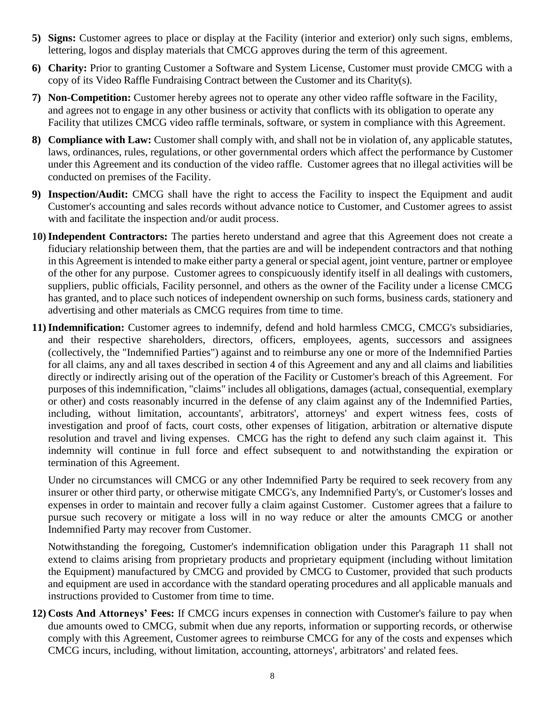- **5) Signs:** Customer agrees to place or display at the Facility (interior and exterior) only such signs, emblems, lettering, logos and display materials that CMCG approves during the term of this agreement.
- **6) Charity:** Prior to granting Customer a Software and System License, Customer must provide CMCG with a copy of its Video Raffle Fundraising Contract between the Customer and its Charity(s).
- **7) Non-Competition:** Customer hereby agrees not to operate any other video raffle software in the Facility, and agrees not to engage in any other business or activity that conflicts with its obligation to operate any Facility that utilizes CMCG video raffle terminals, software, or system in compliance with this Agreement.
- **8) Compliance with Law:** Customer shall comply with, and shall not be in violation of, any applicable statutes, laws, ordinances, rules, regulations, or other governmental orders which affect the performance by Customer under this Agreement and its conduction of the video raffle. Customer agrees that no illegal activities will be conducted on premises of the Facility.
- **9) Inspection/Audit:** CMCG shall have the right to access the Facility to inspect the Equipment and audit Customer's accounting and sales records without advance notice to Customer, and Customer agrees to assist with and facilitate the inspection and/or audit process.
- **10)Independent Contractors:** The parties hereto understand and agree that this Agreement does not create a fiduciary relationship between them, that the parties are and will be independent contractors and that nothing in this Agreement is intended to make either party a general or special agent, joint venture, partner or employee of the other for any purpose. Customer agrees to conspicuously identify itself in all dealings with customers, suppliers, public officials, Facility personnel, and others as the owner of the Facility under a license CMCG has granted, and to place such notices of independent ownership on such forms, business cards, stationery and advertising and other materials as CMCG requires from time to time.
- **11)Indemnification:** Customer agrees to indemnify, defend and hold harmless CMCG, CMCG's subsidiaries, and their respective shareholders, directors, officers, employees, agents, successors and assignees (collectively, the "Indemnified Parties") against and to reimburse any one or more of the Indemnified Parties for all claims, any and all taxes described in section 4 of this Agreement and any and all claims and liabilities directly or indirectly arising out of the operation of the Facility or Customer's breach of this Agreement. For purposes of this indemnification, "claims" includes all obligations, damages (actual, consequential, exemplary or other) and costs reasonably incurred in the defense of any claim against any of the Indemnified Parties, including, without limitation, accountants', arbitrators', attorneys' and expert witness fees, costs of investigation and proof of facts, court costs, other expenses of litigation, arbitration or alternative dispute resolution and travel and living expenses. CMCG has the right to defend any such claim against it. This indemnity will continue in full force and effect subsequent to and notwithstanding the expiration or termination of this Agreement.

Under no circumstances will CMCG or any other Indemnified Party be required to seek recovery from any insurer or other third party, or otherwise mitigate CMCG's, any Indemnified Party's, or Customer's losses and expenses in order to maintain and recover fully a claim against Customer. Customer agrees that a failure to pursue such recovery or mitigate a loss will in no way reduce or alter the amounts CMCG or another Indemnified Party may recover from Customer.

Notwithstanding the foregoing, Customer's indemnification obligation under this Paragraph 11 shall not extend to claims arising from proprietary products and proprietary equipment (including without limitation the Equipment) manufactured by CMCG and provided by CMCG to Customer, provided that such products and equipment are used in accordance with the standard operating procedures and all applicable manuals and instructions provided to Customer from time to time.

**12) Costs And Attorneys' Fees:** If CMCG incurs expenses in connection with Customer's failure to pay when due amounts owed to CMCG, submit when due any reports, information or supporting records, or otherwise comply with this Agreement, Customer agrees to reimburse CMCG for any of the costs and expenses which CMCG incurs, including, without limitation, accounting, attorneys', arbitrators' and related fees.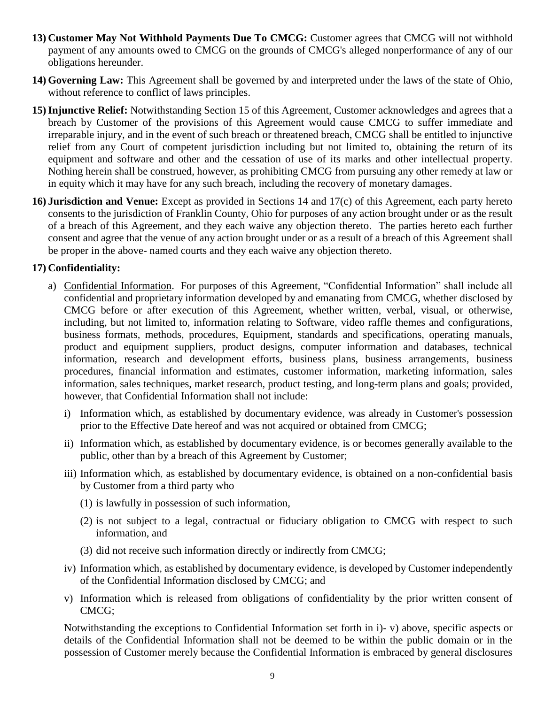- **13) Customer May Not Withhold Payments Due To CMCG:** Customer agrees that CMCG will not withhold payment of any amounts owed to CMCG on the grounds of CMCG's alleged nonperformance of any of our obligations hereunder.
- **14) Governing Law:** This Agreement shall be governed by and interpreted under the laws of the state of Ohio, without reference to conflict of laws principles.
- **15)Injunctive Relief:** Notwithstanding Section 15 of this Agreement, Customer acknowledges and agrees that a breach by Customer of the provisions of this Agreement would cause CMCG to suffer immediate and irreparable injury, and in the event of such breach or threatened breach, CMCG shall be entitled to injunctive relief from any Court of competent jurisdiction including but not limited to, obtaining the return of its equipment and software and other and the cessation of use of its marks and other intellectual property. Nothing herein shall be construed, however, as prohibiting CMCG from pursuing any other remedy at law or in equity which it may have for any such breach, including the recovery of monetary damages.
- **16) Jurisdiction and Venue:** Except as provided in Sections 14 and 17(c) of this Agreement, each party hereto consents to the jurisdiction of Franklin County, Ohio for purposes of any action brought under or as the result of a breach of this Agreement, and they each waive any objection thereto. The parties hereto each further consent and agree that the venue of any action brought under or as a result of a breach of this Agreement shall be proper in the above- named courts and they each waive any objection thereto.

#### **17) Confidentiality:**

- a) Confidential Information. For purposes of this Agreement, "Confidential Information" shall include all confidential and proprietary information developed by and emanating from CMCG, whether disclosed by CMCG before or after execution of this Agreement, whether written, verbal, visual, or otherwise, including, but not limited to, information relating to Software, video raffle themes and configurations, business formats, methods, procedures, Equipment, standards and specifications, operating manuals, product and equipment suppliers, product designs, computer information and databases, technical information, research and development efforts, business plans, business arrangements, business procedures, financial information and estimates, customer information, marketing information, sales information, sales techniques, market research, product testing, and long-term plans and goals; provided, however, that Confidential Information shall not include:
	- i) Information which, as established by documentary evidence, was already in Customer's possession prior to the Effective Date hereof and was not acquired or obtained from CMCG;
	- ii) Information which, as established by documentary evidence, is or becomes generally available to the public, other than by a breach of this Agreement by Customer;
	- iii) Information which, as established by documentary evidence, is obtained on a non-confidential basis by Customer from a third party who
		- (1) is lawfully in possession of such information,
		- (2) is not subject to a legal, contractual or fiduciary obligation to CMCG with respect to such information, and
		- (3) did not receive such information directly or indirectly from CMCG;
	- iv) Information which, as established by documentary evidence, is developed by Customer independently of the Confidential Information disclosed by CMCG; and
	- v) Information which is released from obligations of confidentiality by the prior written consent of CMCG;

Notwithstanding the exceptions to Confidential Information set forth in i)- v) above, specific aspects or details of the Confidential Information shall not be deemed to be within the public domain or in the possession of Customer merely because the Confidential Information is embraced by general disclosures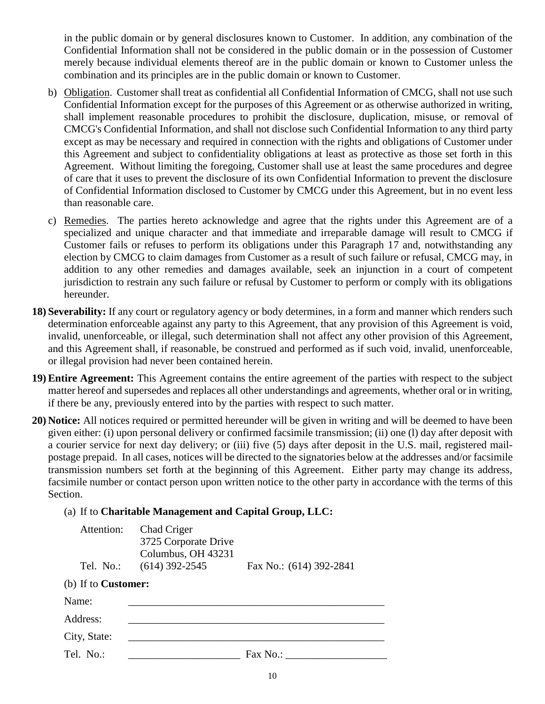in the public domain or by general disclosures known to Customer. In addition, any combination of the Confidential Information shall not be considered in the public domain or in the possession of Customer merely because individual elements thereof are in the public domain or known to Customer unless the combination and its principles are in the public domain or known to Customer.

- b) Obligation. Customer shall treat as confidential all Confidential Information of CMCG, shall not use such Confidential Information except for the purposes of this Agreement or as otherwise authorized in writing, shall implement reasonable procedures to prohibit the disclosure, duplication, misuse, or removal of CMCG's Confidential Information, and shall not disclose such Confidential Information to any third party except as may be necessary and required in connection with the rights and obligations of Customer under this Agreement and subject to confidentiality obligations at least as protective as those set forth in this Agreement. Without limiting the foregoing, Customer shall use at least the same procedures and degree of care that it uses to prevent the disclosure of its own Confidential Information to prevent the disclosure of Confidential Information disclosed to Customer by CMCG under this Agreement, but in no event less than reasonable care.
- c) Remedies. The parties hereto acknowledge and agree that the rights under this Agreement are of a specialized and unique character and that immediate and irreparable damage will result to CMCG if Customer fails or refuses to perform its obligations under this Paragraph 17 and, notwithstanding any election by CMCG to claim damages from Customer as a result of such failure or refusal, CMCG may, in addition to any other remedies and damages available, seek an injunction in a court of competent jurisdiction to restrain any such failure or refusal by Customer to perform or comply with its obligations hereunder.
- **18) Severability:** If any court or regulatory agency or body determines, in a form and manner which renders such determination enforceable against any party to this Agreement, that any provision of this Agreement is void, invalid, unenforceable, or illegal, such determination shall not affect any other provision of this Agreement, and this Agreement shall, if reasonable, be construed and performed as if such void, invalid, unenforceable, or illegal provision had never been contained herein.
- **19) Entire Agreement:** This Agreement contains the entire agreement of the parties with respect to the subject matter hereof and supersedes and replaces all other understandings and agreements, whether oral or in writing, if there be any, previously entered into by the parties with respect to such matter.
- **20) Notice:** All notices required or permitted hereunder will be given in writing and will be deemed to have been given either: (i) upon personal delivery or confirmed facsimile transmission; (ii) one (l) day after deposit with a courier service for next day delivery; or (iii) five (5) days after deposit in the U.S. mail, registered mailpostage prepaid. In all cases, notices will be directed to the signatories below at the addresses and/or facsimile transmission numbers set forth at the beginning of this Agreement. Either party may change its address, facsimile number or contact person upon written notice to the other party in accordance with the terms of this Section.

#### (a) If to **Charitable Management and Capital Group, LLC:**

| Attention:<br>Tel. No.:    | Chad Criger<br>3725 Corporate Drive<br>Columbus, OH 43231<br>$(614)$ 392-2545 | Fax No.: (614) 392-2841 |  |  |  |  |
|----------------------------|-------------------------------------------------------------------------------|-------------------------|--|--|--|--|
| (b) If to <b>Customer:</b> |                                                                               |                         |  |  |  |  |
| Name:                      |                                                                               |                         |  |  |  |  |
| Address:                   |                                                                               |                         |  |  |  |  |
| City, State:               |                                                                               |                         |  |  |  |  |
| Tel. No.:                  |                                                                               | Fax No.:                |  |  |  |  |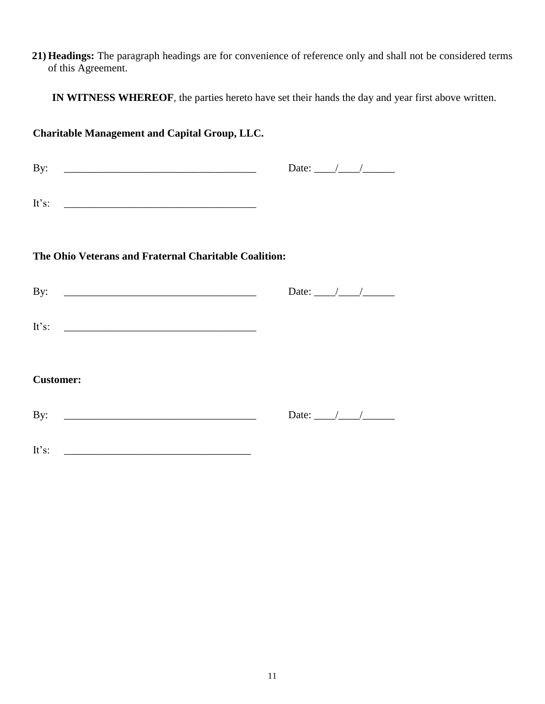**21) Headings:** The paragraph headings are for convenience of reference only and shall not be considered terms of this Agreement.

**IN WITNESS WHEREOF**, the parties hereto have set their hands the day and year first above written.

# **Charitable Management and Capital Group, LLC.** By: \_\_\_\_\_\_\_\_\_\_\_\_\_\_\_\_\_\_\_\_\_\_\_\_\_\_\_\_\_\_\_\_\_\_\_\_ Date: \_\_\_\_/\_\_\_\_/\_\_\_\_\_\_ It's: **The Ohio Veterans and Fraternal Charitable Coalition:** By: \_\_\_\_\_\_\_\_\_\_\_\_\_\_\_\_\_\_\_\_\_\_\_\_\_\_\_\_\_\_\_\_\_\_\_\_ Date: \_\_\_\_/\_\_\_\_/\_\_\_\_\_\_ It's:  $\blacksquare$ **Customer:** By: \_\_\_\_\_\_\_\_\_\_\_\_\_\_\_\_\_\_\_\_\_\_\_\_\_\_\_\_\_\_\_\_\_\_\_\_ Date: \_\_\_\_/\_\_\_\_/\_\_\_\_\_\_ It's: \_\_\_\_\_\_\_\_\_\_\_\_\_\_\_\_\_\_\_\_\_\_\_\_\_\_\_\_\_\_\_\_\_\_\_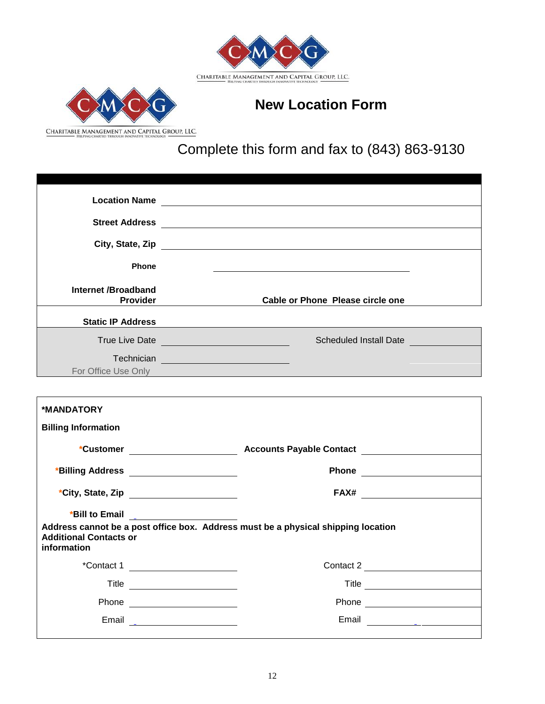



# **New Location Form**

Complete this form and fax to (843) 863-9130

|                                                                                                                                                                                                                                                                                | Street Address <b>Contract Address</b>                                                                                                                                                                                                                                                                                                                                                                                                                                      |  |
|--------------------------------------------------------------------------------------------------------------------------------------------------------------------------------------------------------------------------------------------------------------------------------|-----------------------------------------------------------------------------------------------------------------------------------------------------------------------------------------------------------------------------------------------------------------------------------------------------------------------------------------------------------------------------------------------------------------------------------------------------------------------------|--|
|                                                                                                                                                                                                                                                                                |                                                                                                                                                                                                                                                                                                                                                                                                                                                                             |  |
| <b>Phone</b>                                                                                                                                                                                                                                                                   |                                                                                                                                                                                                                                                                                                                                                                                                                                                                             |  |
| Internet /Broadband<br><b>Provider</b>                                                                                                                                                                                                                                         | <b>Cable or Phone Please circle one</b>                                                                                                                                                                                                                                                                                                                                                                                                                                     |  |
| <b>Static IP Address</b>                                                                                                                                                                                                                                                       |                                                                                                                                                                                                                                                                                                                                                                                                                                                                             |  |
|                                                                                                                                                                                                                                                                                | Scheduled Install Date                                                                                                                                                                                                                                                                                                                                                                                                                                                      |  |
|                                                                                                                                                                                                                                                                                | Technician <u>experience and the series of the series of the series of the series of the series of the series of the series of the series of the series of the series of the series of the series of the series of the series of</u><br>For Office Use Only <b>Example 2018</b> The Contract of the Contract of the Contract of the Contract of the Contract of the Contract of the Contract of the Contract of the Contract of the Contract of the Contract of the Contrac |  |
|                                                                                                                                                                                                                                                                                |                                                                                                                                                                                                                                                                                                                                                                                                                                                                             |  |
| *MANDATORY                                                                                                                                                                                                                                                                     |                                                                                                                                                                                                                                                                                                                                                                                                                                                                             |  |
| <b>Billing Information</b>                                                                                                                                                                                                                                                     |                                                                                                                                                                                                                                                                                                                                                                                                                                                                             |  |
|                                                                                                                                                                                                                                                                                |                                                                                                                                                                                                                                                                                                                                                                                                                                                                             |  |
| *Billing Address ______________________                                                                                                                                                                                                                                        | Phone <u>_________________</u>                                                                                                                                                                                                                                                                                                                                                                                                                                              |  |
|                                                                                                                                                                                                                                                                                |                                                                                                                                                                                                                                                                                                                                                                                                                                                                             |  |
| *Bill to Email and the state of the state of the state of the state of the state of the state of the state of the state of the state of the state of the state of the state of the state of the state of the state of the stat<br><b>Additional Contacts or</b><br>information | Address cannot be a post office box. Address must be a physical shipping location                                                                                                                                                                                                                                                                                                                                                                                           |  |
|                                                                                                                                                                                                                                                                                | *Contact 1<br>Contact 2                                                                                                                                                                                                                                                                                                                                                                                                                                                     |  |
|                                                                                                                                                                                                                                                                                | Title                                                                                                                                                                                                                                                                                                                                                                                                                                                                       |  |
|                                                                                                                                                                                                                                                                                |                                                                                                                                                                                                                                                                                                                                                                                                                                                                             |  |
| Email                                                                                                                                                                                                                                                                          | Email                                                                                                                                                                                                                                                                                                                                                                                                                                                                       |  |